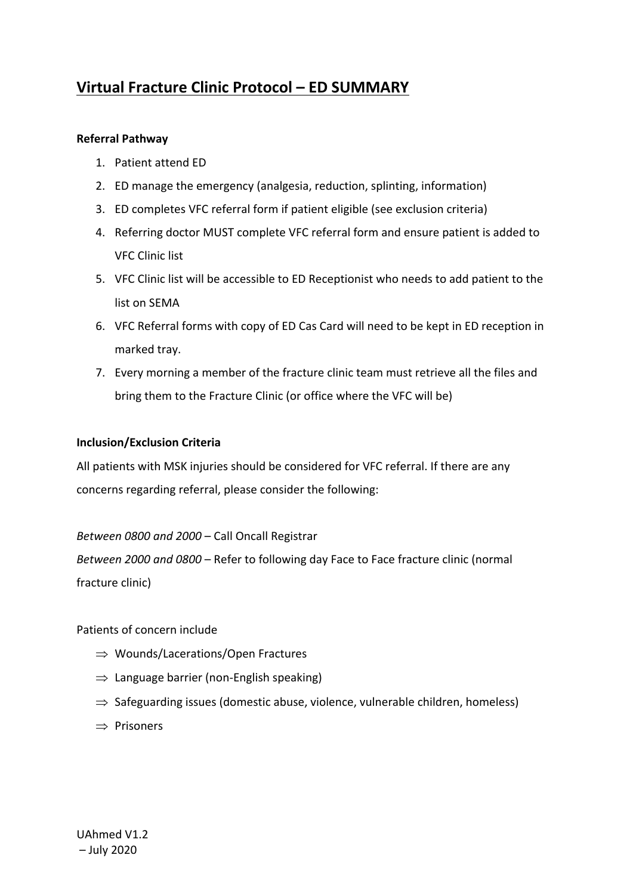# **Virtual Fracture Clinic Protocol – ED SUMMARY**

## **Referral Pathway**

- 1. Patient attend ED
- 2. ED manage the emergency (analgesia, reduction, splinting, information)
- 3. ED completes VFC referral form if patient eligible (see exclusion criteria)
- 4. Referring doctor MUST complete VFC referral form and ensure patient is added to VFC Clinic list
- 5. VFC Clinic list will be accessible to ED Receptionist who needs to add patient to the list on SEMA
- 6. VFC Referral forms with copy of ED Cas Card will need to be kept in ED reception in marked tray.
- 7. Every morning a member of the fracture clinic team must retrieve all the files and bring them to the Fracture Clinic (or office where the VFC will be)

### **Inclusion/Exclusion Criteria**

All patients with MSK injuries should be considered for VFC referral. If there are any concerns regarding referral, please consider the following:

## *Between 0800 and 2000* – Call Oncall Registrar

*Between 2000 and 0800* – Refer to following day Face to Face fracture clinic (normal fracture clinic)

## Patients of concern include

- $\Rightarrow$  Wounds/Lacerations/Open Fractures
- $\Rightarrow$  Language barrier (non-English speaking)
- $\Rightarrow$  Safeguarding issues (domestic abuse, violence, vulnerable children, homeless)
- $\Rightarrow$  Prisoners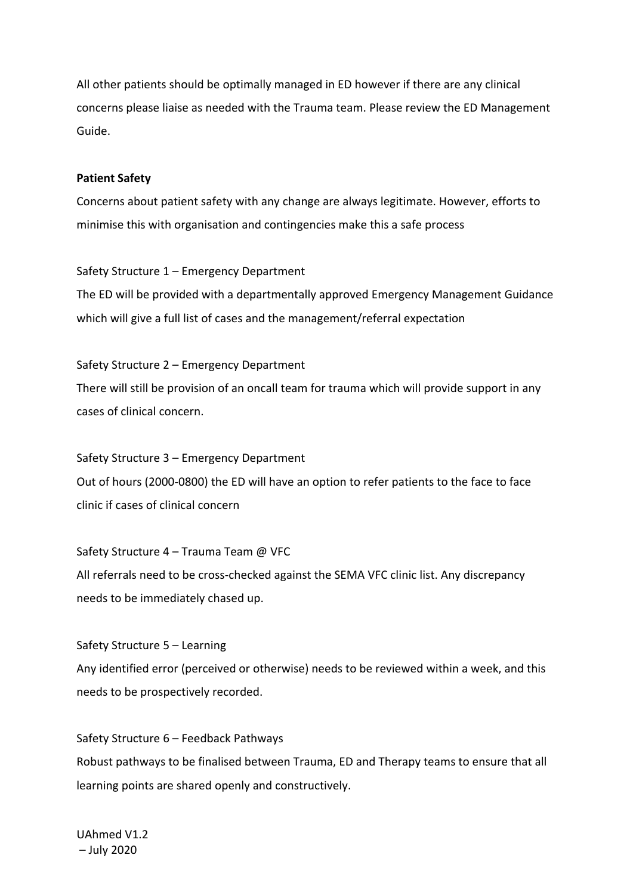All other patients should be optimally managed in ED however if there are any clinical concerns please liaise as needed with the Trauma team. Please review the ED Management Guide.

#### **Patient Safety**

Concerns about patient safety with any change are always legitimate. However, efforts to minimise this with organisation and contingencies make this a safe process

Safety Structure 1 – Emergency Department The ED will be provided with a departmentally approved Emergency Management Guidance which will give a full list of cases and the management/referral expectation

Safety Structure 2 – Emergency Department There will still be provision of an oncall team for trauma which will provide support in any cases of clinical concern.

Safety Structure 3 – Emergency Department Out of hours (2000-0800) the ED will have an option to refer patients to the face to face clinic if cases of clinical concern

Safety Structure 4 – Trauma Team @ VFC All referrals need to be cross-checked against the SEMA VFC clinic list. Any discrepancy needs to be immediately chased up.

Safety Structure 5 – Learning Any identified error (perceived or otherwise) needs to be reviewed within a week, and this needs to be prospectively recorded.

Safety Structure 6 – Feedback Pathways Robust pathways to be finalised between Trauma, ED and Therapy teams to ensure that all learning points are shared openly and constructively.

UAhmed V1.2 – July 2020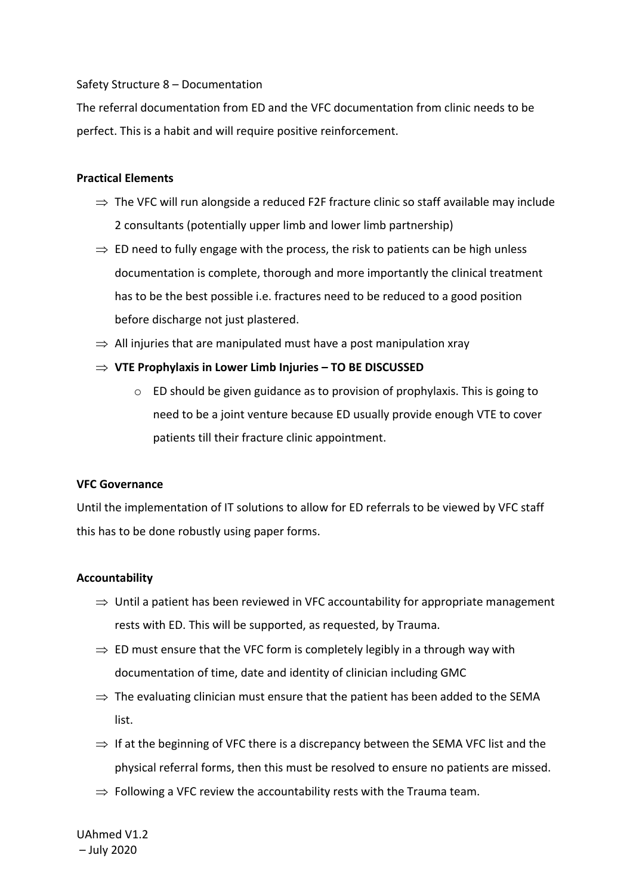#### Safety Structure 8 – Documentation

The referral documentation from ED and the VFC documentation from clinic needs to be perfect. This is a habit and will require positive reinforcement.

#### **Practical Elements**

- $\Rightarrow$  The VFC will run alongside a reduced F2F fracture clinic so staff available may include 2 consultants (potentially upper limb and lower limb partnership)
- $\Rightarrow$  ED need to fully engage with the process, the risk to patients can be high unless documentation is complete, thorough and more importantly the clinical treatment has to be the best possible i.e. fractures need to be reduced to a good position before discharge not just plastered.
- $\Rightarrow$  All injuries that are manipulated must have a post manipulation xray
- **VTE Prophylaxis in Lower Limb Injuries – TO BE DISCUSSED**
	- $\circ$  ED should be given guidance as to provision of prophylaxis. This is going to need to be a joint venture because ED usually provide enough VTE to cover patients till their fracture clinic appointment.

#### **VFC Governance**

Until the implementation of IT solutions to allow for ED referrals to be viewed by VFC staff this has to be done robustly using paper forms.

#### **Accountability**

- $\Rightarrow$  Until a patient has been reviewed in VFC accountability for appropriate management rests with ED. This will be supported, as requested, by Trauma.
- $\Rightarrow$  ED must ensure that the VFC form is completely legibly in a through way with documentation of time, date and identity of clinician including GMC
- $\Rightarrow$  The evaluating clinician must ensure that the patient has been added to the SEMA list.
- $\Rightarrow$  If at the beginning of VFC there is a discrepancy between the SEMA VFC list and the physical referral forms, then this must be resolved to ensure no patients are missed.
- $\Rightarrow$  Following a VFC review the accountability rests with the Trauma team.